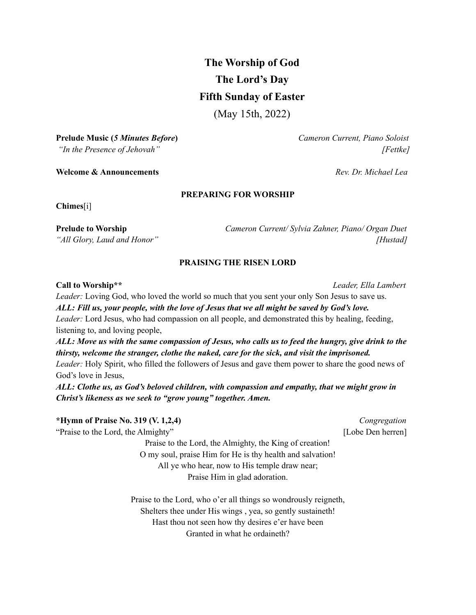# **The Worship of God The Lord's Day Fifth Sunday of Easter**

(May 15th, 2022)

**Prelude Music (***5 Minutes Before***)** *Cameron Current, Piano Soloist*

**Welcome & Announcements** *Rev. Dr. Michael Lea*

### **PREPARING FOR WORSHIP**

**Chimes**[i]

**Prelude to Worship** *Cameron Current/ Sylvia Zahner, Piano/ Organ Duet "All Glory, Laud and Honor" [Hustad]*

### **PRAISING THE RISEN LORD**

#### **Call to Worship\*\*** *Leader, Ella Lambert*

*Leader:* Loving God, who loved the world so much that you sent your only Son Jesus to save us. *ALL: Fill us, your people, with the love of Jesus that we all might be saved by God's love. Leader:* Lord Jesus, who had compassion on all people, and demonstrated this by healing, feeding, listening to, and loving people,

ALL: Move us with the same compassion of Jesus, who calls us to feed the hungry, give drink to the *thirsty, welcome the stranger, clothe the naked, care for the sick, and visit the imprisoned. Leader:* Holy Spirit, who filled the followers of Jesus and gave them power to share the good news of God's love in Jesus,

*ALL: Clothe us, as God's beloved children, with compassion and empathy, that we might grow in Christ's likeness as we seek to "grow young" together. Amen.*

## **\*Hymn of Praise No. 319 (V. 1,2,4)** *Congregation* "Praise to the Lord, the Almighty" [Lobe Den herren] Praise to the Lord, the Almighty, the King of creation! O my soul, praise Him for He is thy health and salvation! All ye who hear, now to His temple draw near; Praise Him in glad adoration. Praise to the Lord, who o'er all things so wondrously reigneth, Shelters thee under His wings , yea, so gently sustaineth! Hast thou not seen how thy desires e'er have been Granted in what he ordaineth?

*"In the Presence of Jehovah" [Fettke]*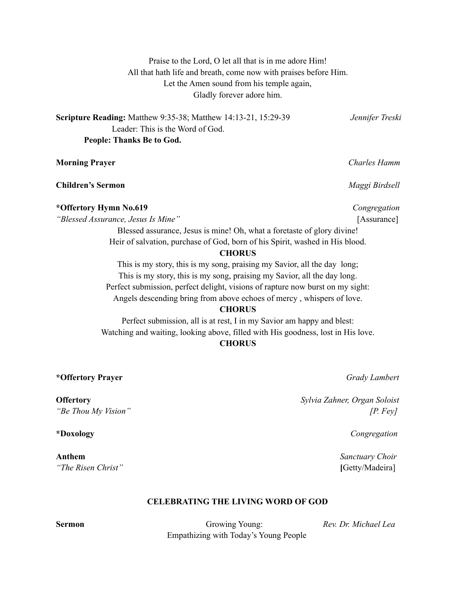Praise to the Lord, O let all that is in me adore Him! All that hath life and breath, come now with praises before Him. Let the Amen sound from his temple again, Gladly forever adore him.

**Scripture Reading:** Matthew 9:35-38; Matthew 14:13-21, 15:29-39 *Jennifer Treski* Leader: This is the Word of God. **People: Thanks Be to God.**

**Morning Prayer** *Charles Hamm*

**Children's Sermon** *Maggi Birdsell*

**\*Offertory Hymn No.619** *Congregation*

*"Blessed Assurance, Jesus Is Mine"* [Assurance]

Blessed assurance, Jesus is mine! Oh, what a foretaste of glory divine! Heir of salvation, purchase of God, born of his Spirit, washed in His blood.

#### **CHORUS**

This is my story, this is my song, praising my Savior, all the day long; This is my story, this is my song, praising my Savior, all the day long. Perfect submission, perfect delight, visions of rapture now burst on my sight: Angels descending bring from above echoes of mercy , whispers of love.

#### **CHORUS**

Perfect submission, all is at rest, I in my Savior am happy and blest: Watching and waiting, looking above, filled with His goodness, lost in His love.

### **CHORUS**

**\*Offertory Prayer** *Grady Lambert*

*"The Risen Christ"* **[**Getty/Madeira]

#### **CELEBRATING THE LIVING WORD OF GOD**

**Sermon** Growing Young: *Rev. Dr. Michael Lea* Empathizing with Today's Young People

**Offertory** *Sylvia Zahner, Organ Soloist "Be Thou My Vision" [P. Fey]*

**\*Doxology** *Congregation*

**Anthem** *Sanctuary Choir*